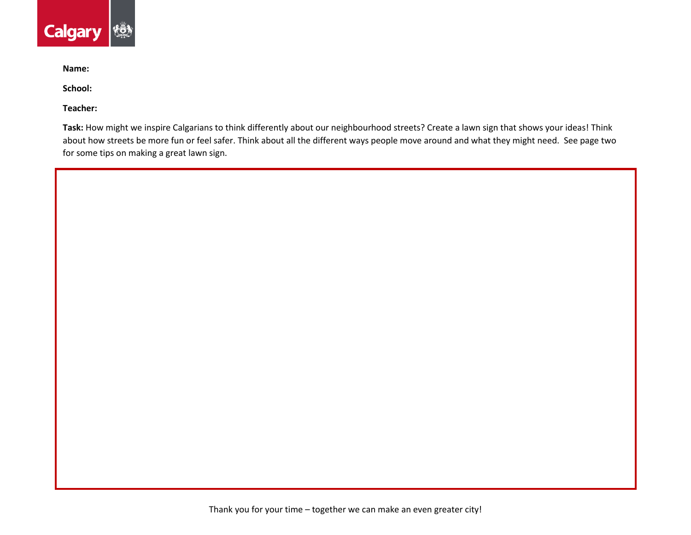

**Name:** 

**School:** 

**Teacher:** 

**Task:** How might we inspire Calgarians to think differently about our neighbourhood streets? Create a lawn sign that shows your ideas! Think about how streets be more fun or feel safer. Think about all the different ways people move around and what they might need. See page two for some tips on making a great lawn sign.